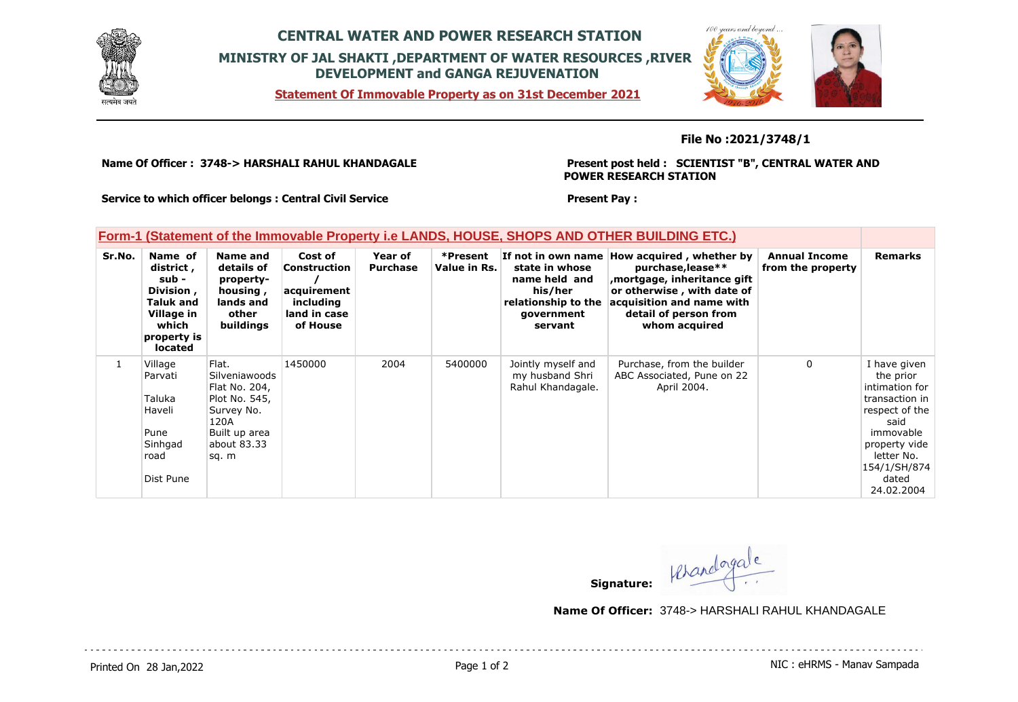

## **CENTRAL WATER AND POWER RESEARCH STATION MINISTRY OF JAL SHAKTI ,DEPARTMENT OF WATER RESOURCES ,RIVER DEVELOPMENT and GANGA REJUVENATION**

**Statement Of Immovable Property as on 31st December 2021**



#### **File No :2021/3748/1**

**Name Of Officer : 3748-> HARSHALI RAHUL KHANDAGALE** 

**Present post held : SCIENTIST "B", CENTRAL WATER AND POWER RESEARCH STATION**

**Service to which officer belongs : Central Civil Service**

### **Present Pay :**

#### **Form-1 (Statement of the Immovable Property i.e LANDS, HOUSE, SHOPS AND OTHER BUILDING ETC.)**

| Sr.No. | Name of<br>district,<br>sub -<br>Division,<br>Taluk and<br>Village in<br>which<br>property is<br>located | Name and<br>details of<br>property-<br>housing,<br>lands and<br>other<br>buildings                                     | Cost of<br><b>Construction</b><br>acquirement<br>including<br>land in case<br>of House | Year of<br><b>Purchase</b> | *Present<br>Value in Rs. | If not in own name<br>state in whose<br>name held and<br>his/her<br>relationship to the<br>government<br>servant | How acquired, whether by<br>purchase, lease**<br>mortgage, inheritance gift,<br>or otherwise, with date of<br>acquisition and name with<br>detail of person from<br>whom acquired | <b>Annual Income</b><br>from the property | <b>Remarks</b>                                                                                                                                                             |
|--------|----------------------------------------------------------------------------------------------------------|------------------------------------------------------------------------------------------------------------------------|----------------------------------------------------------------------------------------|----------------------------|--------------------------|------------------------------------------------------------------------------------------------------------------|-----------------------------------------------------------------------------------------------------------------------------------------------------------------------------------|-------------------------------------------|----------------------------------------------------------------------------------------------------------------------------------------------------------------------------|
| 1      | Village<br>Parvati<br>Taluka<br>Haveli<br>Pune<br>Sinhgad<br>road<br>Dist Pune                           | Flat.<br>Silveniawoods<br>Flat No. 204,<br>Plot No. 545,<br>Survey No.<br>120A<br>Built up area<br>about 83.33<br>sq.m | 1450000                                                                                | 2004                       | 5400000                  | Jointly myself and<br>my husband Shri<br>Rahul Khandagale.                                                       | Purchase, from the builder<br>ABC Associated, Pune on 22<br>April 2004.                                                                                                           | $\Omega$                                  | I have given<br>the prior<br>intimation for<br>transaction in<br>respect of the<br>said<br>immovable<br>property vide<br>letter No.<br>154/1/SH/874<br>dated<br>24.02.2004 |

**Signature:**

**Name Of Officer:** 3748-> HARSHALI RAHUL KHANDAGALE